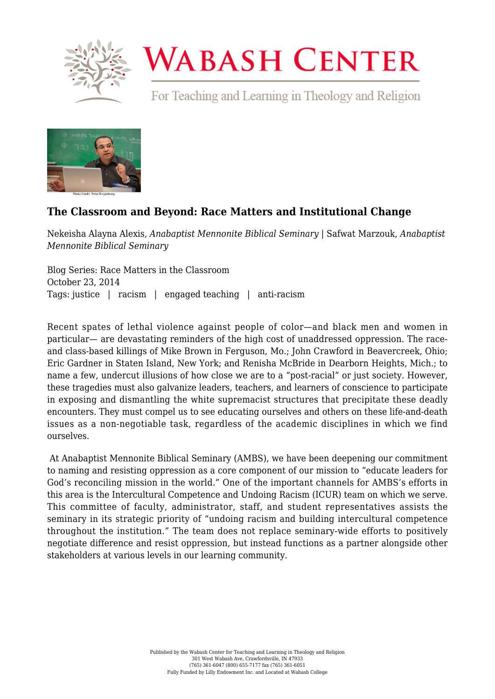

## **WABASH CENTER**

For Teaching and Learning in Theology and Religion



## **[The Classroom and Beyond: Race Matters and Institutional Change](https://www.wabashcenter.wabash.edu/2014/10/the-classroom-and-beyond-race-matters-and-institutional-change/)**

Nekeisha Alayna Alexis, *Anabaptist Mennonite Biblical Seminary* | Safwat Marzouk, *Anabaptist Mennonite Biblical Seminary*

Blog Series: Race Matters in the Classroom October 23, 2014 Tags: justice | racism | engaged teaching | anti-racism

Recent spates of lethal violence against people of color—and black men and women in particular— are devastating reminders of the high cost of unaddressed oppression. The raceand class-based killings of Mike Brown in Ferguson, Mo.; John Crawford in Beavercreek, Ohio; Eric Gardner in Staten Island, New York; and Renisha McBride in Dearborn Heights, Mich.; to name a few, undercut illusions of how close we are to a "post-racial" or just society. However, these tragedies must also galvanize leaders, teachers, and learners of conscience to participate in exposing and dismantling the white supremacist structures that precipitate these deadly encounters. They must compel us to see educating ourselves and others on these life-and-death issues as a non-negotiable task, regardless of the academic disciplines in which we find ourselves.

 At Anabaptist Mennonite Biblical Seminary (AMBS), we have been deepening our commitment to naming and resisting oppression as a core component of our mission to "educate leaders for God's reconciling mission in the world." One of the important channels for AMBS's efforts in this area is the Intercultural Competence and Undoing Racism (ICUR) team on which we serve. This committee of faculty, administrator, staff, and student representatives assists the seminary in its strategic priority of "undoing racism and building intercultural competence throughout the institution." The team does not replace seminary-wide efforts to positively negotiate difference and resist oppression, but instead functions as a partner alongside other stakeholders at various levels in our learning community.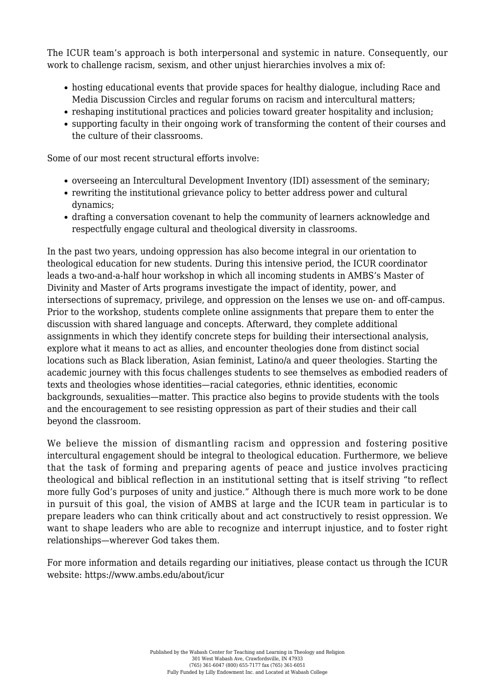The ICUR team's approach is both interpersonal and systemic in nature. Consequently, our work to challenge racism, sexism, and other unjust hierarchies involves a mix of:

- hosting educational events that provide spaces for healthy dialogue, including Race and Media Discussion Circles and regular forums on racism and intercultural matters;
- reshaping institutional practices and policies toward greater hospitality and inclusion;
- supporting faculty in their ongoing work of transforming the content of their courses and the culture of their classrooms.

Some of our most recent structural efforts involve:

- overseeing an Intercultural Development Inventory (IDI) assessment of the seminary;
- rewriting the institutional grievance policy to better address power and cultural dynamics;
- drafting a conversation covenant to help the community of learners acknowledge and respectfully engage cultural and theological diversity in classrooms.

In the past two years, undoing oppression has also become integral in our orientation to theological education for new students. During this intensive period, the ICUR coordinator leads a two-and-a-half hour workshop in which all incoming students in AMBS's Master of Divinity and Master of Arts programs investigate the impact of identity, power, and intersections of supremacy, privilege, and oppression on the lenses we use on- and off-campus. Prior to the workshop, students complete online assignments that prepare them to enter the discussion with shared language and concepts. Afterward, they complete additional assignments in which they identify concrete steps for building their intersectional analysis, explore what it means to act as allies, and encounter theologies done from distinct social locations such as Black liberation, Asian feminist, Latino/a and queer theologies. Starting the academic journey with this focus challenges students to see themselves as embodied readers of texts and theologies whose identities—racial categories, ethnic identities, economic backgrounds, sexualities—matter. This practice also begins to provide students with the tools and the encouragement to see resisting oppression as part of their studies and their call beyond the classroom.

We believe the mission of dismantling racism and oppression and fostering positive intercultural engagement should be integral to theological education. Furthermore, we believe that the task of forming and preparing agents of peace and justice involves practicing theological and biblical reflection in an institutional setting that is itself striving "to reflect more fully God's purposes of unity and justice." Although there is much more work to be done in pursuit of this goal, the vision of AMBS at large and the ICUR team in particular is to prepare leaders who can think critically about and act constructively to resist oppression. We want to shape leaders who are able to recognize and interrupt injustice, and to foster right relationships—wherever God takes them.

For more information and details regarding our initiatives, please contact us through the ICUR website: <https://www.ambs.edu/about/icur>